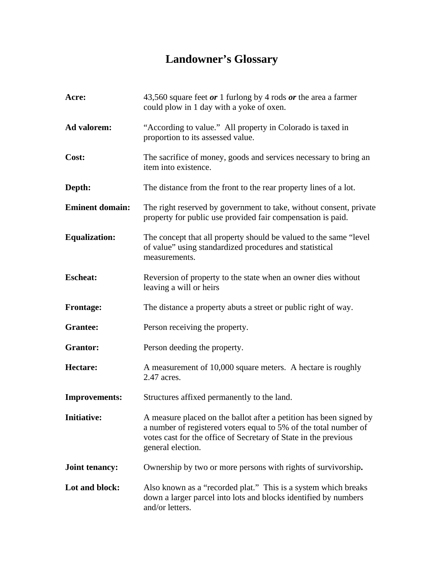## **Landowner's Glossary**

| Acre:                  | 43,560 square feet $or 1$ furlong by 4 rods $or$ the area a farmer<br>could plow in 1 day with a yoke of oxen.                                                                                                                 |
|------------------------|--------------------------------------------------------------------------------------------------------------------------------------------------------------------------------------------------------------------------------|
| <b>Ad valorem:</b>     | "According to value." All property in Colorado is taxed in<br>proportion to its assessed value.                                                                                                                                |
| Cost:                  | The sacrifice of money, goods and services necessary to bring an<br>item into existence.                                                                                                                                       |
| Depth:                 | The distance from the front to the rear property lines of a lot.                                                                                                                                                               |
| <b>Eminent domain:</b> | The right reserved by government to take, without consent, private<br>property for public use provided fair compensation is paid.                                                                                              |
| <b>Equalization:</b>   | The concept that all property should be valued to the same "level"<br>of value" using standardized procedures and statistical<br>measurements.                                                                                 |
| <b>Escheat:</b>        | Reversion of property to the state when an owner dies without<br>leaving a will or heirs                                                                                                                                       |
| <b>Frontage:</b>       | The distance a property abuts a street or public right of way.                                                                                                                                                                 |
| <b>Grantee:</b>        | Person receiving the property.                                                                                                                                                                                                 |
| <b>Grantor:</b>        | Person deeding the property.                                                                                                                                                                                                   |
| Hectare:               | A measurement of 10,000 square meters. A hectare is roughly<br>2.47 acres.                                                                                                                                                     |
| <b>Improvements:</b>   | Structures affixed permanently to the land.                                                                                                                                                                                    |
| <b>Initiative:</b>     | A measure placed on the ballot after a petition has been signed by<br>a number of registered voters equal to 5% of the total number of<br>votes cast for the office of Secretary of State in the previous<br>general election. |
| <b>Joint tenancy:</b>  | Ownership by two or more persons with rights of survivorship.                                                                                                                                                                  |
| Lot and block:         | Also known as a "recorded plat." This is a system which breaks<br>down a larger parcel into lots and blocks identified by numbers<br>and/or letters.                                                                           |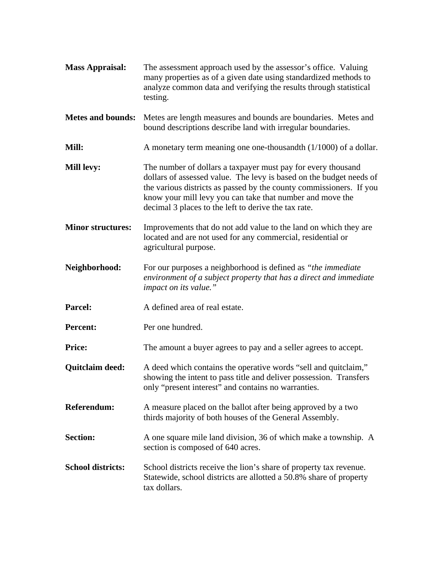| <b>Mass Appraisal:</b>   | The assessment approach used by the assessor's office. Valuing<br>many properties as of a given date using standardized methods to<br>analyze common data and verifying the results through statistical<br>testing.                                                                                                             |
|--------------------------|---------------------------------------------------------------------------------------------------------------------------------------------------------------------------------------------------------------------------------------------------------------------------------------------------------------------------------|
| <b>Metes and bounds:</b> | Metes are length measures and bounds are boundaries. Metes and<br>bound descriptions describe land with irregular boundaries.                                                                                                                                                                                                   |
| Mill:                    | A monetary term meaning one one-thousandth $(1/1000)$ of a dollar.                                                                                                                                                                                                                                                              |
| <b>Mill levy:</b>        | The number of dollars a taxpayer must pay for every thousand<br>dollars of assessed value. The levy is based on the budget needs of<br>the various districts as passed by the county commissioners. If you<br>know your mill levy you can take that number and move the<br>decimal 3 places to the left to derive the tax rate. |
| <b>Minor structures:</b> | Improvements that do not add value to the land on which they are<br>located and are not used for any commercial, residential or<br>agricultural purpose.                                                                                                                                                                        |
| Neighborhood:            | For our purposes a neighborhood is defined as "the immediate"<br>environment of a subject property that has a direct and immediate<br>impact on its value."                                                                                                                                                                     |
| Parcel:                  | A defined area of real estate.                                                                                                                                                                                                                                                                                                  |
| <b>Percent:</b>          | Per one hundred.                                                                                                                                                                                                                                                                                                                |
| <b>Price:</b>            | The amount a buyer agrees to pay and a seller agrees to accept.                                                                                                                                                                                                                                                                 |
| Quitclaim deed:          | A deed which contains the operative words "sell and quitclaim,"<br>showing the intent to pass title and deliver possession. Transfers<br>only "present interest" and contains no warranties.                                                                                                                                    |
| <b>Referendum:</b>       | A measure placed on the ballot after being approved by a two<br>thirds majority of both houses of the General Assembly.                                                                                                                                                                                                         |
| <b>Section:</b>          | A one square mile land division, 36 of which make a township. A<br>section is composed of 640 acres.                                                                                                                                                                                                                            |
| <b>School districts:</b> | School districts receive the lion's share of property tax revenue.<br>Statewide, school districts are allotted a 50.8% share of property<br>tax dollars.                                                                                                                                                                        |